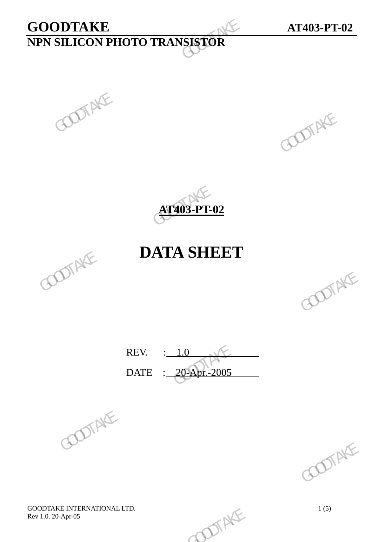# **GOODTAKE AT403-PT-02 NPN SILICON PHOTO TRANSISTOR**  GOODTAKE<br>
NPN SILICON PHOTO TRANSISTOR<br>
GOODTAKE<br>
GOODTAKE<br>
GOODTAKE<br>
GOODTAKE





## **DATA SHEET**



REV. : 1.0 DATE : 20-Apr.-2005 REV.  $\frac{1.0}{20-201}$  (COOTAKE)





GOODTAKE INTERNATIONAL LTD.<br>
Rev 1.0. 20-Apr-05 1(5) Rev 1.0. 20-Apr-05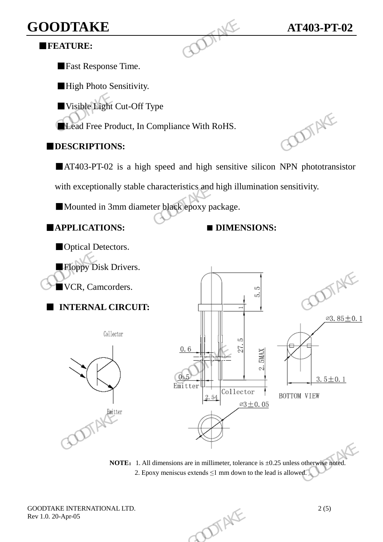## **GOODTAKE AT403-PT-02**

#### ■**FEATURE:**

■Fast Response Time.

■High Photo Sensitivity.

■ Visible Light Cut-Off Type

**ELead Free Product, In Compliance With RoHS.** 

#### ■**DESCRIPTIONS:**

■AT403-PT-02 is a high speed and high sensitive silicon NPN phototransistor

with exceptionally stable characteristics and high illumination sensitivity. GOODTAKE<br>
FEATURE:<br>
Fast Response Time.<br>
High Photo Sensitivity.<br>
Visible Light Cut-Off Type<br>
Lead Free Product, In Compliance With RoHS.<br>
DESCRIPTIONS:<br>
AT403-PT-02 is a high speed and high sensitive<br>
with exceptionally s

■Mounted in 3mm diameter black epoxy package.

■**APPLICATIONS: ■ DIMENSIONS:**

■Optical Detectors. ■Floppy Disk Drivers. ■VCR, Camcorders.

■ **INTERNAL CIRCUIT:** 





**NOTE:** 1. All dimensions are in millimeter, tolerance is  $\pm 0.25$  unless otherwise noted. 2. Epoxy meniscus extends  $\leq 1$  mm down to the lead is allowed.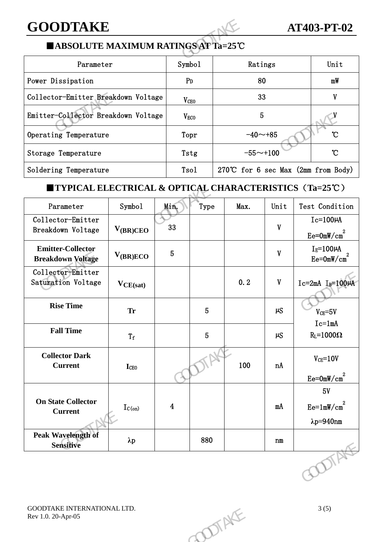### **GOODTAKE AT403-PT-02**

#### ■**ABSOLUTE MAXIMUM RATINGS AT Ta=25**℃

| <b>GOODTAKE</b>                                                                       |                        |                                       | <b>AT403-PT-02</b> |                |  |  |  |  |  |
|---------------------------------------------------------------------------------------|------------------------|---------------------------------------|--------------------|----------------|--|--|--|--|--|
| ■ABSOLUTE MAXIMUM RATINGS AT Ta=25°C                                                  |                        |                                       |                    |                |  |  |  |  |  |
| Parameter                                                                             | Symbo1                 | Ratings                               | Unit               |                |  |  |  |  |  |
| Power Dissipation                                                                     | P <sub>D</sub>         | 80                                    | mW                 |                |  |  |  |  |  |
| Collector-Emitter Breakdown Voltage                                                   | V <sub>CEO</sub>       | 33                                    | V                  |                |  |  |  |  |  |
| Emitter-Collector Breakdown Voltage                                                   | <b>V<sub>ECO</sub></b> | 5                                     |                    |                |  |  |  |  |  |
| Operating Temperature                                                                 | Topr                   | $-40 - +85$                           | °C                 |                |  |  |  |  |  |
| Storage Temperature                                                                   | Tstg                   | $-55 - +100$                          | $\mathcal{C}$      |                |  |  |  |  |  |
| Soldering Temperature                                                                 | T <sub>so</sub> 1      | 270°C for 6 sec Max $(2mm from Body)$ |                    |                |  |  |  |  |  |
| <b>TYPICAL ELECTRICAL &amp; OPTICAL CHARACTERISTICS <math>(Ta=25^{\circ}C)</math></b> |                        |                                       |                    |                |  |  |  |  |  |
| Symbol<br>Parameter                                                                   | Min.<br>Type           | Max.                                  | Unit               | Test Condition |  |  |  |  |  |

#### ■**TYPICAL ELECTRICAL & OPTICAL CHARACTERISTICS**(**Ta=25**℃)

| Emitter-Collector Breakdown Voltage                               |                  |                         | $V_{ECO}$       | $\overline{5}$                        |             |                                            |
|-------------------------------------------------------------------|------------------|-------------------------|-----------------|---------------------------------------|-------------|--------------------------------------------|
| Operating Temperature                                             |                  |                         | Topr            | $-40$ ~+85                            |             | $\mathcal{C}$                              |
| Storage Temperature                                               |                  |                         | Tstg            | $-55 - +100$                          |             | $\mathcal{C}$                              |
| Soldering Temperature                                             |                  |                         | Tso1            | 270°C for 6 sec Max $(2mn$ from Body) |             |                                            |
| <b>TYPICAL ELECTRICAL &amp; OPTICAL CHARACTERISTICS (Ta=25°C)</b> |                  |                         |                 |                                       |             |                                            |
| Parameter                                                         | Symbol           | Min.                    | Type            | Max.                                  | Unit        | Test Condition                             |
| Collector-Emitter<br>Breakdown Voltage                            | $V_{(BR)CEO}$    | 33                      |                 |                                       | $\mathbf V$ | $Ic=100\mu A$<br>$Ee = 0mW/cm2$            |
| <b>Emitter-Collector</b><br><b>Breakdown Voltage</b>              | $V_{(BR)ECO}$    | $5\phantom{.}$          |                 |                                       | $\mathbf V$ | $I_E = 100 \mu A$<br>$Ee = 0mW/cm2$        |
| Collector-Emitter<br>Saturation Voltage                           | $V_{CE(sat)}$    |                         |                 | 0.2                                   | $\mathbf V$ | $Ic=2mA$ $I_B=100\mu A$                    |
| <b>Rise Time</b>                                                  | <b>Tr</b>        |                         | $\overline{5}$  |                                       | $\mu S$     | $V_{CE} = 5V$<br>$Ic=1mA$                  |
| <b>Fall Time</b>                                                  | $\mathrm{T_{f}}$ |                         | $5\phantom{.0}$ |                                       | $\mu$ S     | $R_L = 1000\Omega$                         |
| <b>Collector Dark</b><br><b>Current</b>                           | <b>I</b> CEO     |                         |                 | 100                                   | nA          | $V_{CE} = 10V$<br>$Ee = 0mW/cm2$           |
| <b>On State Collector</b><br><b>Current</b>                       | $I_{C(on)}$      | $\overline{\mathbf{4}}$ |                 |                                       | mA          | 5V<br>$Ee=1mW/cm2$<br>$\lambda p = 940$ nm |
| <b>Peak Wavelength of</b><br><b>Sensitive</b>                     | $\lambda p$      |                         | 880             |                                       | n m         |                                            |
|                                                                   |                  |                         |                 |                                       |             | DIA                                        |
| GOODTAKE INTERNATIONAL LTD.<br>Rev 1.0. 20-Apr-05                 |                  |                         |                 | DIENTE                                |             | 3(5)                                       |
|                                                                   |                  |                         |                 |                                       |             |                                            |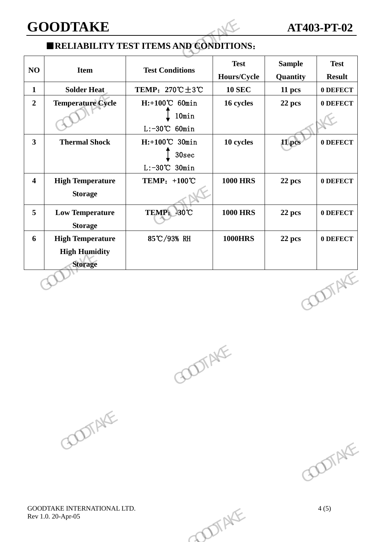#### **GOODTAKE AT403-PT-02**

#### ■**RELIABILITY TEST ITEMS AND CONDITIONS**:

| <b>GOODTAKE</b>         |                                                                   |                                                       |                            | <b>AT403-PT-02</b>        |                              |  |
|-------------------------|-------------------------------------------------------------------|-------------------------------------------------------|----------------------------|---------------------------|------------------------------|--|
|                         |                                                                   | <b>ERELIABILITY TEST ITEMS AND CONDITIONS:</b>        |                            |                           |                              |  |
| NO                      | <b>Item</b>                                                       | <b>Test Conditions</b>                                | <b>Test</b><br>Hours/Cycle | <b>Sample</b><br>Quantity | <b>Test</b><br><b>Result</b> |  |
| $\mathbf{1}$            | <b>Solder Heat</b>                                                | TEMP: $270^{\circ}\text{C} \pm 3^{\circ}\text{C}$     | <b>10 SEC</b>              | 11 pcs                    | 0 DEFECT                     |  |
| $\overline{2}$          | <b>Temperature Cycle</b>                                          | $H$ :+100°C 60min<br>10min<br>$L: -30^{\circ}C$ 60min | 16 cycles                  | 22 pcs                    | 0 DEFECT                     |  |
| $\overline{\mathbf{3}}$ | <b>Thermal Shock</b>                                              | $H$ :+100°C 30min<br>30sec<br>$L: -30^{\circ}C$ 30min | 10 cycles                  | 11 pcs                    | 0 DEFECT                     |  |
| $\overline{\mathbf{4}}$ | <b>High Temperature</b><br><b>Storage</b>                         | TEMP: +100°C                                          | <b>1000 HRS</b>            | 22 pcs                    | 0 DEFECT                     |  |
| 5                       | <b>Low Temperature</b><br><b>Storage</b>                          | TEMP: 30°C                                            | <b>1000 HRS</b>            | 22 pcs                    | 0 DEFECT                     |  |
| 6                       | <b>High Temperature</b><br><b>High Humidity</b><br><b>Storage</b> | 85℃/93% RH                                            | <b>1000HRS</b>             | 22 pcs                    | 0 DEFECT                     |  |
|                         |                                                                   |                                                       |                            |                           | <b>DOTAKE</b>                |  |





GOODTAKE INTERNATIONAL LTD. 4 (5) Rev 1.0. 20-Apr-05